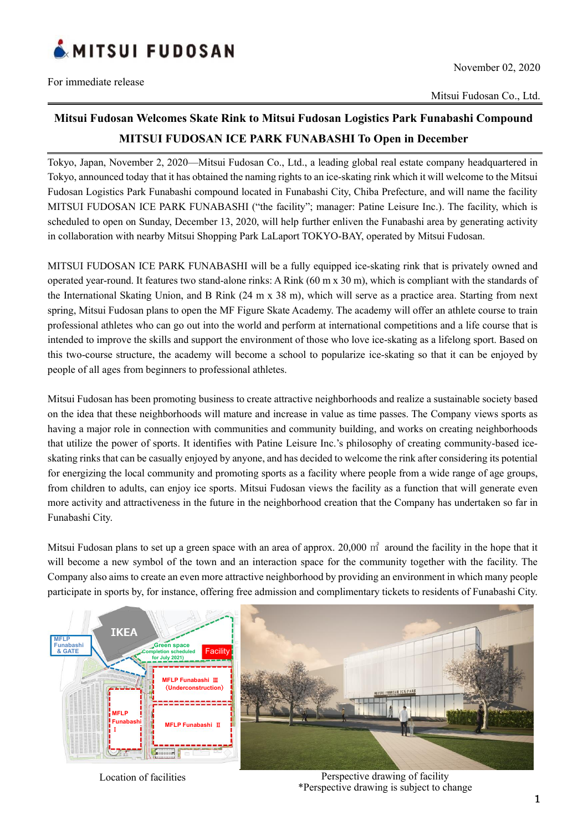

Mitsui Fudosan Co., Ltd.

## **Mitsui Fudosan Welcomes Skate Rink to Mitsui Fudosan Logistics Park Funabashi Compound MITSUI FUDOSAN ICE PARK FUNABASHI To Open in December**

Tokyo, Japan, November 2, 2020—Mitsui Fudosan Co., Ltd., a leading global real estate company headquartered in Tokyo, announced today that it has obtained the naming rights to an ice-skating rink which it will welcome to the Mitsui Fudosan Logistics Park Funabashi compound located in Funabashi City, Chiba Prefecture, and will name the facility MITSUI FUDOSAN ICE PARK FUNABASHI ("the facility"; manager: Patine Leisure Inc.). The facility, which is scheduled to open on Sunday, December 13, 2020, will help further enliven the Funabashi area by generating activity in collaboration with nearby Mitsui Shopping Park LaLaport TOKYO-BAY, operated by Mitsui Fudosan.

MITSUI FUDOSAN ICE PARK FUNABASHI will be a fully equipped ice-skating rink that is privately owned and operated year-round. It features two stand-alone rinks: A Rink (60 m x 30 m), which is compliant with the standards of the International Skating Union, and B Rink (24 m x 38 m), which will serve as a practice area. Starting from next spring, Mitsui Fudosan plans to open the MF Figure Skate Academy. The academy will offer an athlete course to train professional athletes who can go out into the world and perform at international competitions and a life course that is intended to improve the skills and support the environment of those who love ice-skating as a lifelong sport. Based on this two-course structure, the academy will become a school to popularize ice-skating so that it can be enjoyed by people of all ages from beginners to professional athletes.

Mitsui Fudosan has been promoting business to create attractive neighborhoods and realize a sustainable society based on the idea that these neighborhoods will mature and increase in value as time passes. The Company views sports as having a major role in connection with communities and community building, and works on creating neighborhoods that utilize the power of sports. It identifies with Patine Leisure Inc.'s philosophy of creating community-based iceskating rinks that can be casually enjoyed by anyone, and has decided to welcome the rink after considering its potential for energizing the local community and promoting sports as a facility where people from a wide range of age groups, from children to adults, can enjoy ice sports. Mitsui Fudosan views the facility as a function that will generate even more activity and attractiveness in the future in the neighborhood creation that the Company has undertaken so far in Funabashi City.

Mitsui Fudosan plans to set up a green space with an area of approx. 20,000  $m<sup>2</sup>$  around the facility in the hope that it will become a new symbol of the town and an interaction space for the community together with the facility. The Company also aims to create an even more attractive neighborhood by providing an environment in which many people participate in sports by, for instance, offering free admission and complimentary tickets to residents of Funabashi City.



Location of facilities **Perspective drawing of facility** \*Perspective drawing is subject to change